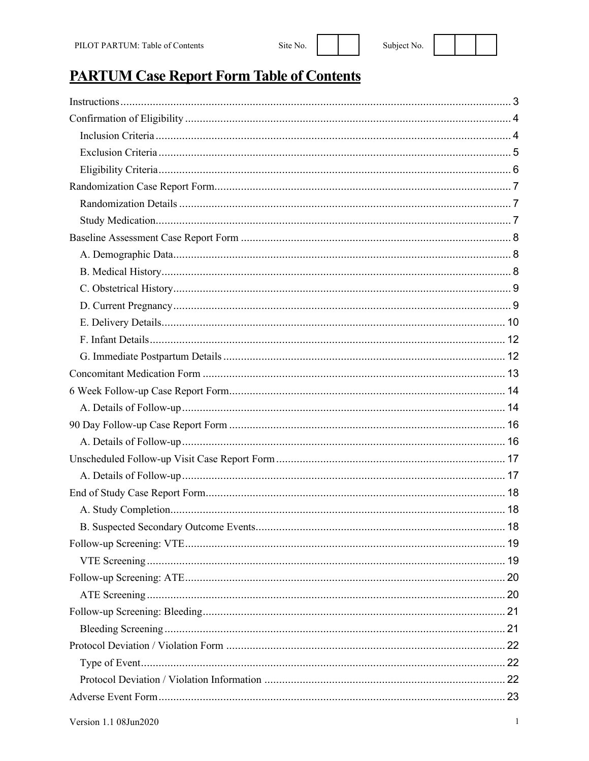## **PARTUM Case Report Form Table of Contents**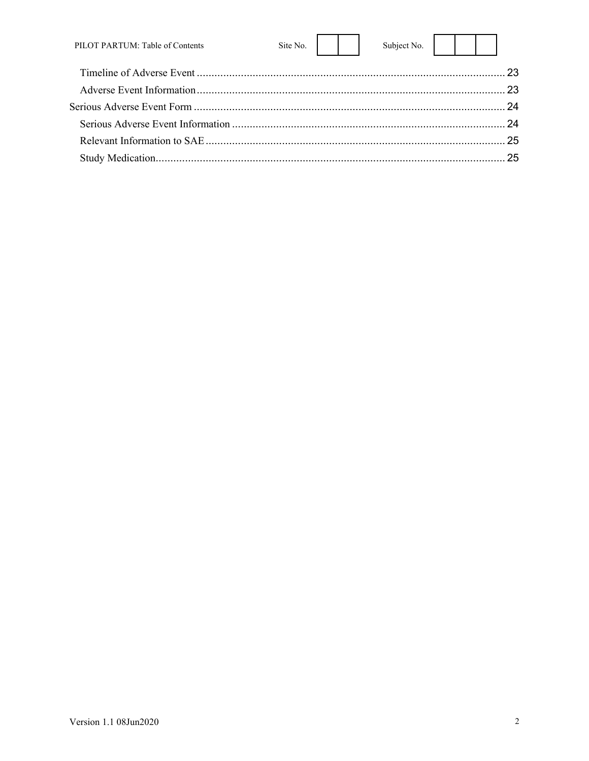| PILOT PARTUM: Table of Contents | Site No. $\vert$ | Subject No. |  |  |
|---------------------------------|------------------|-------------|--|--|
|                                 |                  |             |  |  |
|                                 |                  |             |  |  |
|                                 |                  |             |  |  |
|                                 |                  |             |  |  |
|                                 |                  |             |  |  |
|                                 |                  |             |  |  |

 $\overline{a}$